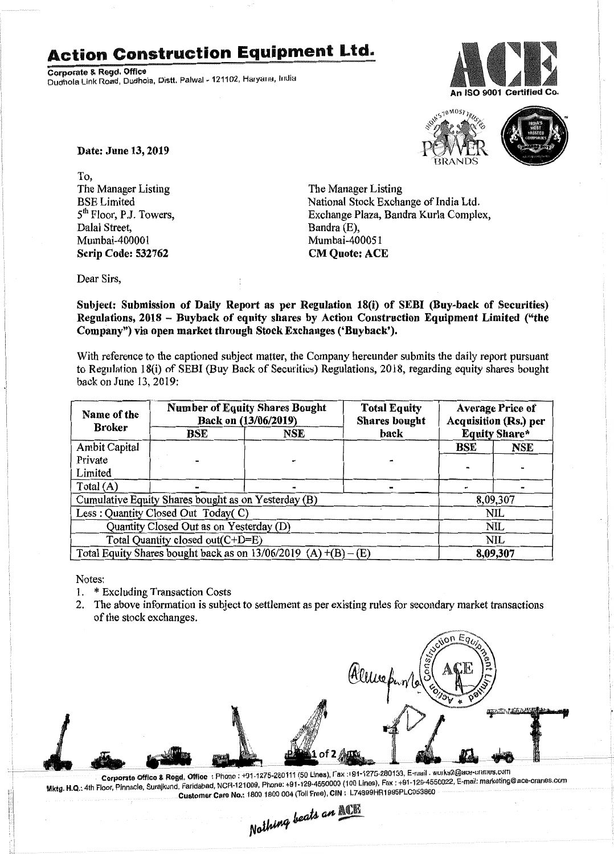## **Action Construction Equipment Ltd.**

Corporate & Regd. Office Dudhola Link Road, Dudhola, Distt. Palwal - 121102, Haryana, India





Date: June 13,2019

To, The Manager Listing BSELimited 5<sup>th</sup> Floor, P.J. Towers, Dalal Street, Mumbai-400001 Scrip Code: 532762

The Manager Listing National Stock Exchange of India Ltd. Exchange Plaza, Bandra Kurla Complex, Bandra (E), Mumbai-400051 CM Quote: ACE

Dear Sirs,

Subject: Submission of Daily Report as per Regulation 18(i) of SEBI (Buy-back of Securities) Regulations, 2018 - Buyback of equity shares by Action Construction Equipment Limited ("the Company") via open market through Stock Exchanges ('Buyback').

With reference to the captioned subject matter, the Company hereunder submits the daily report pursuant to Regulation 18(i) of SEBI (Buy Back of Securities) Regulations, 2018, regarding equity shares bought back on June 13,2019:

| Name of the<br><b>Broker</b>                                      | <b>Number of Equity Shares Bought</b><br>Back on (13/06/2019) |     | <b>Total Equity</b><br><b>Shares bought</b> | <b>Average Price of</b><br><b>Acquisition (Rs.) per</b> |            |  |
|-------------------------------------------------------------------|---------------------------------------------------------------|-----|---------------------------------------------|---------------------------------------------------------|------------|--|
|                                                                   | BSE                                                           | NSE | back                                        | <b>Equity Share*</b>                                    |            |  |
| Ambit Capital                                                     |                                                               |     |                                             | BSE                                                     | <b>NSE</b> |  |
| Private                                                           |                                                               |     |                                             |                                                         |            |  |
| Limited                                                           |                                                               |     |                                             |                                                         |            |  |
| Total (A)                                                         |                                                               |     |                                             |                                                         |            |  |
| Cumulative Equity Shares bought as on Yesterday (B)               |                                                               |     |                                             |                                                         | 8,09,307   |  |
| Less: Quantity Closed Out Today(C)                                |                                                               |     |                                             | <b>NIL</b>                                              |            |  |
| Quantity Closed Out as on Yesterday (D)                           |                                                               |     |                                             | NIL                                                     |            |  |
| Total Quantity closed out(C+D=E)                                  |                                                               |     |                                             |                                                         | NIL        |  |
| Total Equity Shares bought back as on $13/06/2019$ (A) +(B) – (E) |                                                               |     |                                             | 8,09,307                                                |            |  |

Notes:

- 1. \* Excluding Transaction Costs
- 2. The above information is subject to settlement as per existing rules for secondary market transactions of the stock exchanges.



Corporate Office & Rogd. Office : Phone : +91-1275-280111 (50 Lines), Fax : 191-1275-280133, E-mail . wurks2@ace-crames.com Corporate Office & Regd. Office: Phone : +91-1275-280111 (50 Lines), Fax : +91-1275-280133, E-mail . workszegace-cranes.com<br>Mktg. H.Q.: 4th Floor, Pinnacle, Surajkund, Faridabad, NCR-121009, Phone: +91-129-4550000 (100 Lin Customer Care No.: 1800 1800 004 (Toll Free), CIN : L74899HR1995PLC053860